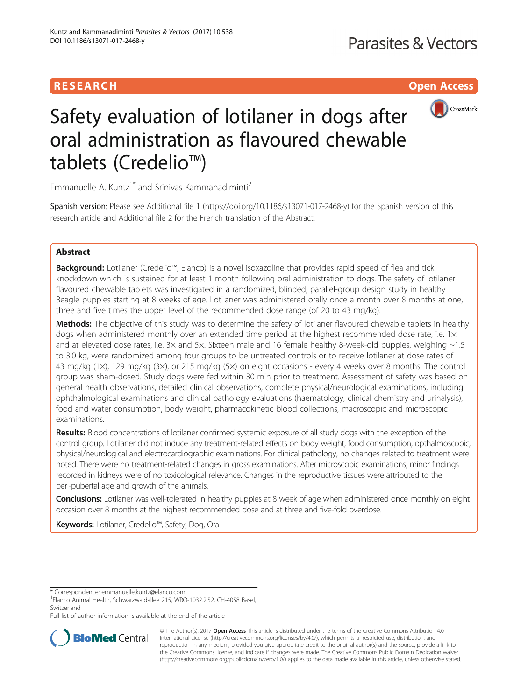# **RESEARCH CHILD CONTROL** CONTROL CONTROL CONTROL CONTROL CONTROL CONTROL CONTROL CONTROL CONTROL CONTROL CONTROL



# Safety evaluation of lotilaner in dogs after oral administration as flavoured chewable tablets (Credelio™)

Emmanuelle A. Kuntz<sup>1\*</sup> and Srinivas Kammanadiminti<sup>2</sup>

Spanish version: Please see Additional file [1](#page-5-0) [\(https://doi.org/10.1186/s13071-017-2468-y\)](https://doi.org/10.1186/s13071-017-2468-y) for the Spanish version of this research article and Additional file [2](#page-5-0) for the French translation of the Abstract.

# Abstract

Background: Lotilaner (Credelio™, Elanco) is a novel isoxazoline that provides rapid speed of flea and tick knockdown which is sustained for at least 1 month following oral administration to dogs. The safety of lotilaner flavoured chewable tablets was investigated in a randomized, blinded, parallel-group design study in healthy Beagle puppies starting at 8 weeks of age. Lotilaner was administered orally once a month over 8 months at one, three and five times the upper level of the recommended dose range (of 20 to 43 mg/kg).

Methods: The objective of this study was to determine the safety of lotilaner flavoured chewable tablets in healthy dogs when administered monthly over an extended time period at the highest recommended dose rate, i.e.  $1 \times$ and at elevated dose rates, i.e.  $3x$  and  $5x$ . Sixteen male and 16 female healthy 8-week-old puppies, weighing  $\sim$ 1.5 to 3.0 kg, were randomized among four groups to be untreated controls or to receive lotilaner at dose rates of 43 mg/kg (1×), 129 mg/kg (3×), or 215 mg/kg (5×) on eight occasions - every 4 weeks over 8 months. The control group was sham-dosed. Study dogs were fed within 30 min prior to treatment. Assessment of safety was based on general health observations, detailed clinical observations, complete physical/neurological examinations, including ophthalmological examinations and clinical pathology evaluations (haematology, clinical chemistry and urinalysis), food and water consumption, body weight, pharmacokinetic blood collections, macroscopic and microscopic examinations.

Results: Blood concentrations of lotilaner confirmed systemic exposure of all study dogs with the exception of the control group. Lotilaner did not induce any treatment-related effects on body weight, food consumption, opthalmoscopic, physical/neurological and electrocardiographic examinations. For clinical pathology, no changes related to treatment were noted. There were no treatment-related changes in gross examinations. After microscopic examinations, minor findings recorded in kidneys were of no toxicological relevance. Changes in the reproductive tissues were attributed to the peri-pubertal age and growth of the animals.

Conclusions: Lotilaner was well-tolerated in healthy puppies at 8 week of age when administered once monthly on eight occasion over 8 months at the highest recommended dose and at three and five-fold overdose.

Keywords: Lotilaner, Credelio™, Safety, Dog, Oral

Full list of author information is available at the end of the article



© The Author(s). 2017 **Open Access** This article is distributed under the terms of the Creative Commons Attribution 4.0 International License [\(http://creativecommons.org/licenses/by/4.0/](http://creativecommons.org/licenses/by/4.0/)), which permits unrestricted use, distribution, and reproduction in any medium, provided you give appropriate credit to the original author(s) and the source, provide a link to the Creative Commons license, and indicate if changes were made. The Creative Commons Public Domain Dedication waiver [\(http://creativecommons.org/publicdomain/zero/1.0/](http://creativecommons.org/publicdomain/zero/1.0/)) applies to the data made available in this article, unless otherwise stated.

<sup>\*</sup> Correspondence: [emmanuelle.kuntz@elanco.com](mailto:emmanuelle.kuntz@elanco.com) <sup>1</sup>

Elanco Animal Health, Schwarzwaldallee 215, WRO-1032.2.52, CH-4058 Basel, **Switzerland**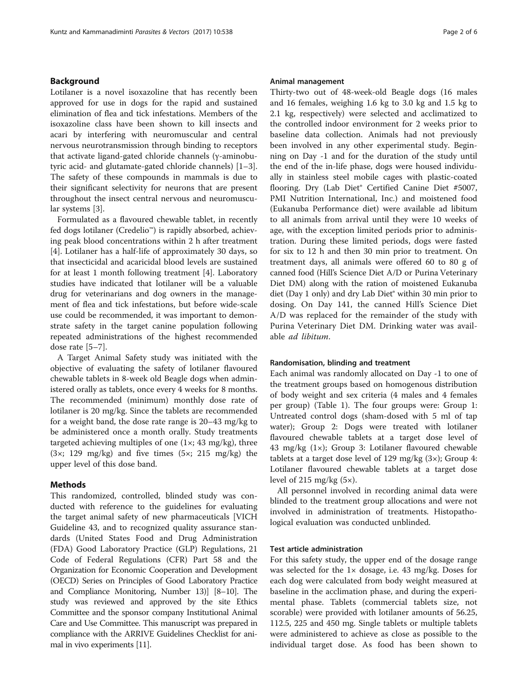# Background

Lotilaner is a novel isoxazoline that has recently been approved for use in dogs for the rapid and sustained elimination of flea and tick infestations. Members of the isoxazoline class have been shown to kill insects and acari by interfering with neuromuscular and central nervous neurotransmission through binding to receptors that activate ligand-gated chloride channels (γ-aminobutyric acid- and glutamate-gated chloride channels) [\[1](#page-5-0)–[3](#page-5-0)]. The safety of these compounds in mammals is due to their significant selectivity for neurons that are present throughout the insect central nervous and neuromuscular systems [[3\]](#page-5-0).

Formulated as a flavoured chewable tablet, in recently fed dogs lotilaner (Credelio™) is rapidly absorbed, achieving peak blood concentrations within 2 h after treatment [[4\]](#page-5-0). Lotilaner has a half-life of approximately 30 days, so that insecticidal and acaricidal blood levels are sustained for at least 1 month following treatment [[4\]](#page-5-0). Laboratory studies have indicated that lotilaner will be a valuable drug for veterinarians and dog owners in the management of flea and tick infestations, but before wide-scale use could be recommended, it was important to demonstrate safety in the target canine population following repeated administrations of the highest recommended dose rate [[5](#page-5-0)–[7\]](#page-5-0).

A Target Animal Safety study was initiated with the objective of evaluating the safety of lotilaner flavoured chewable tablets in 8-week old Beagle dogs when administered orally as tablets, once every 4 weeks for 8 months. The recommended (minimum) monthly dose rate of lotilaner is 20 mg/kg. Since the tablets are recommended for a weight band, the dose rate range is 20–43 mg/kg to be administered once a month orally. Study treatments targeted achieving multiples of one  $(1\times; 43 \text{ mg/kg})$ , three (3×; 129 mg/kg) and five times (5×; 215 mg/kg) the upper level of this dose band.

### Methods

This randomized, controlled, blinded study was conducted with reference to the guidelines for evaluating the target animal safety of new pharmaceuticals [VICH Guideline 43, and to recognized quality assurance standards (United States Food and Drug Administration (FDA) Good Laboratory Practice (GLP) Regulations, 21 Code of Federal Regulations (CFR) Part 58 and the Organization for Economic Cooperation and Development (OECD) Series on Principles of Good Laboratory Practice and Compliance Monitoring, Number 13)] [\[8](#page-5-0)–[10](#page-5-0)]. The study was reviewed and approved by the site Ethics Committee and the sponsor company Institutional Animal Care and Use Committee. This manuscript was prepared in compliance with the ARRIVE Guidelines Checklist for animal in vivo experiments [\[11\]](#page-5-0).

### Animal management

Thirty-two out of 48-week-old Beagle dogs (16 males and 16 females, weighing 1.6 kg to 3.0 kg and 1.5 kg to 2.1 kg, respectively) were selected and acclimatized to the controlled indoor environment for 2 weeks prior to baseline data collection. Animals had not previously been involved in any other experimental study. Beginning on Day -1 and for the duration of the study until the end of the in-life phase, dogs were housed individually in stainless steel mobile cages with plastic-coated flooring. Dry (Lab Diet® Certified Canine Diet #5007, PMI Nutrition International, Inc.) and moistened food (Eukanuba Performance diet) were available ad libitum to all animals from arrival until they were 10 weeks of age, with the exception limited periods prior to administration. During these limited periods, dogs were fasted for six to 12 h and then 30 min prior to treatment. On treatment days, all animals were offered 60 to 80 g of canned food (Hill's Science Diet A/D or Purina Veterinary Diet DM) along with the ration of moistened Eukanuba diet (Day 1 only) and dry Lab Diet® within 30 min prior to dosing. On Day 141, the canned Hill's Science Diet A/D was replaced for the remainder of the study with Purina Veterinary Diet DM. Drinking water was available ad libitum.

#### Randomisation, blinding and treatment

Each animal was randomly allocated on Day -1 to one of the treatment groups based on homogenous distribution of body weight and sex criteria (4 males and 4 females per group) (Table [1](#page-2-0)). The four groups were: Group 1: Untreated control dogs (sham-dosed with 5 ml of tap water); Group 2: Dogs were treated with lotilaner flavoured chewable tablets at a target dose level of 43 mg/kg (1×); Group 3: Lotilaner flavoured chewable tablets at a target dose level of 129 mg/kg (3×); Group 4: Lotilaner flavoured chewable tablets at a target dose level of 215 mg/kg  $(5\times)$ .

All personnel involved in recording animal data were blinded to the treatment group allocations and were not involved in administration of treatments. Histopathological evaluation was conducted unblinded.

# Test article administration

For this safety study, the upper end of the dosage range was selected for the 1× dosage, i.e. 43 mg/kg. Doses for each dog were calculated from body weight measured at baseline in the acclimation phase, and during the experimental phase. Tablets (commercial tablets size, not scorable) were provided with lotilaner amounts of 56.25, 112.5, 225 and 450 mg. Single tablets or multiple tablets were administered to achieve as close as possible to the individual target dose. As food has been shown to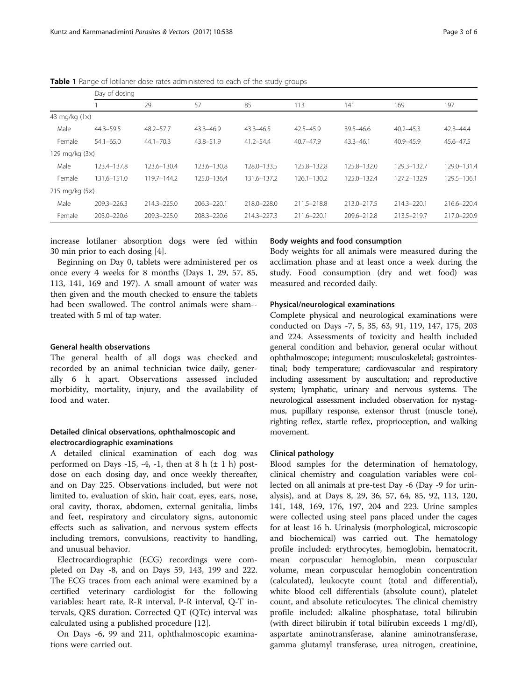|                      | Day of dosing |                 |               |               |                 |               |               |             |
|----------------------|---------------|-----------------|---------------|---------------|-----------------|---------------|---------------|-------------|
|                      |               | 29              | 57            | 85            | 113             | 141           | 169           | 197         |
| 43 mg/kg $(1\times)$ |               |                 |               |               |                 |               |               |             |
| Male                 | $44.3 - 59.5$ | 48.2-57.7       | $43.3 - 46.9$ | $43.3 - 46.5$ | 42.5-45.9       | $39.5 - 46.6$ | $40.2 - 45.3$ | 42.3-44.4   |
| Female               | $54.1 - 65.0$ | $44.1 - 70.3$   | 43.8-51.9     | $41.2 - 54.4$ | $40.7 - 47.9$   | $43.3 - 46.1$ | 40.9-45.9     | 45.6-47.5   |
| 129 mg/kg (3x)       |               |                 |               |               |                 |               |               |             |
| Male                 | 123.4-137.8   | 123.6-130.4     | 123.6-130.8   | 128.0-133.5   | 125.8-132.8     | 125.8-132.0   | 129.3-132.7   | 129.0-131.4 |
| Female               | 131.6-151.0   | 119.7-144.2     | 125.0-136.4   | 131.6-137.2   | $126.1 - 130.2$ | 125.0-132.4   | 127.2-132.9   | 129.5-136.1 |
| 215 mg/kg $(5x)$     |               |                 |               |               |                 |               |               |             |
| Male                 | 209.3-226.3   | $214.3 - 225.0$ | 206.3-220.1   | 218.0-228.0   | 211.5-218.8     | 213.0-217.5   | 214.3-220.1   | 216.6-220.4 |
| Female               | 203.0-220.6   | 209.3-225.0     | 208.3-220.6   | 214.3-227.3   | 211.6-220.1     | 209.6-212.8   | 213.5-219.7   | 217.0-220.9 |

<span id="page-2-0"></span>Table 1 Range of lotilaner dose rates administered to each of the study groups

increase lotilaner absorption dogs were fed within 30 min prior to each dosing [\[4](#page-5-0)].

Beginning on Day 0, tablets were administered per os once every 4 weeks for 8 months (Days 1, 29, 57, 85, 113, 141, 169 and 197). A small amount of water was then given and the mouth checked to ensure the tablets had been swallowed. The control animals were sham- treated with 5 ml of tap water.

# General health observations

The general health of all dogs was checked and recorded by an animal technician twice daily, generally 6 h apart. Observations assessed included morbidity, mortality, injury, and the availability of food and water.

# Detailed clinical observations, ophthalmoscopic and electrocardiographic examinations

A detailed clinical examination of each dog was performed on Days -15, -4, -1, then at 8 h  $(\pm 1$  h) postdose on each dosing day, and once weekly thereafter, and on Day 225. Observations included, but were not limited to, evaluation of skin, hair coat, eyes, ears, nose, oral cavity, thorax, abdomen, external genitalia, limbs and feet, respiratory and circulatory signs, autonomic effects such as salivation, and nervous system effects including tremors, convulsions, reactivity to handling, and unusual behavior.

Electrocardiographic (ECG) recordings were completed on Day -8, and on Days 59, 143, 199 and 222. The ECG traces from each animal were examined by a certified veterinary cardiologist for the following variables: heart rate, R-R interval, P-R interval, Q-T intervals, QRS duration. Corrected QT (QTc) interval was calculated using a published procedure [\[12](#page-5-0)].

On Days -6, 99 and 211, ophthalmoscopic examinations were carried out.

# Body weights and food consumption

Body weights for all animals were measured during the acclimation phase and at least once a week during the study. Food consumption (dry and wet food) was measured and recorded daily.

# Physical/neurological examinations

Complete physical and neurological examinations were conducted on Days -7, 5, 35, 63, 91, 119, 147, 175, 203 and 224. Assessments of toxicity and health included general condition and behavior, general ocular without ophthalmoscope; integument; musculoskeletal; gastrointestinal; body temperature; cardiovascular and respiratory including assessment by auscultation; and reproductive system; lymphatic, urinary and nervous systems. The neurological assessment included observation for nystagmus, pupillary response, extensor thrust (muscle tone), righting reflex, startle reflex, proprioception, and walking movement.

# Clinical pathology

Blood samples for the determination of hematology, clinical chemistry and coagulation variables were collected on all animals at pre-test Day -6 (Day -9 for urinalysis), and at Days 8, 29, 36, 57, 64, 85, 92, 113, 120, 141, 148, 169, 176, 197, 204 and 223. Urine samples were collected using steel pans placed under the cages for at least 16 h. Urinalysis (morphological, microscopic and biochemical) was carried out. The hematology profile included: erythrocytes, hemoglobin, hematocrit, mean corpuscular hemoglobin, mean corpuscular volume, mean corpuscular hemoglobin concentration (calculated), leukocyte count (total and differential), white blood cell differentials (absolute count), platelet count, and absolute reticulocytes. The clinical chemistry profile included: alkaline phosphatase, total bilirubin (with direct bilirubin if total bilirubin exceeds 1 mg/dl), aspartate aminotransferase, alanine aminotransferase, gamma glutamyl transferase, urea nitrogen, creatinine,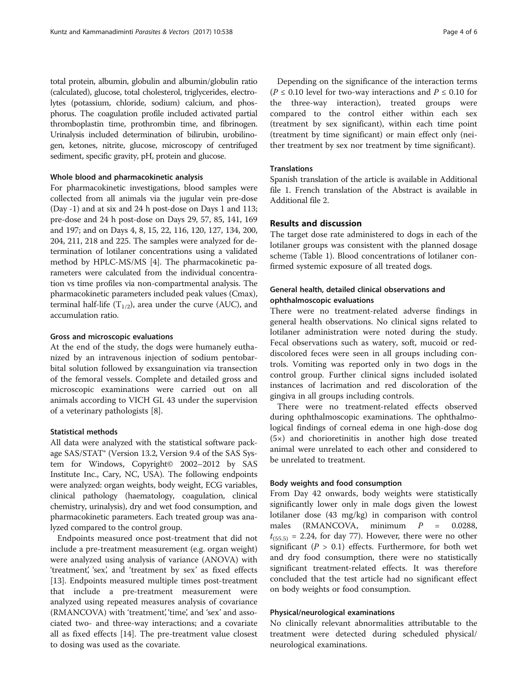total protein, albumin, globulin and albumin/globulin ratio (calculated), glucose, total cholesterol, triglycerides, electrolytes (potassium, chloride, sodium) calcium, and phosphorus. The coagulation profile included activated partial thromboplastin time, prothrombin time, and fibrinogen. Urinalysis included determination of bilirubin, urobilinogen, ketones, nitrite, glucose, microscopy of centrifuged sediment, specific gravity, pH, protein and glucose.

# Whole blood and pharmacokinetic analysis

For pharmacokinetic investigations, blood samples were collected from all animals via the jugular vein pre-dose (Day -1) and at six and 24 h post-dose on Days 1 and 113; pre-dose and 24 h post-dose on Days 29, 57, 85, 141, 169 and 197; and on Days 4, 8, 15, 22, 116, 120, 127, 134, 200, 204, 211, 218 and 225. The samples were analyzed for determination of lotilaner concentrations using a validated method by HPLC-MS/MS [\[4](#page-5-0)]. The pharmacokinetic parameters were calculated from the individual concentration vs time profiles via non-compartmental analysis. The pharmacokinetic parameters included peak values (Cmax), terminal half-life  $(T_{1/2})$ , area under the curve (AUC), and accumulation ratio.

# Gross and microscopic evaluations

At the end of the study, the dogs were humanely euthanized by an intravenous injection of sodium pentobarbital solution followed by exsanguination via transection of the femoral vessels. Complete and detailed gross and microscopic examinations were carried out on all animals according to VICH GL 43 under the supervision of a veterinary pathologists [\[8](#page-5-0)].

# Statistical methods

All data were analyzed with the statistical software package SAS/STAT® (Version 13.2, Version 9.4 of the SAS System for Windows, Copyright© 2002–2012 by SAS Institute Inc., Cary, NC, USA). The following endpoints were analyzed: organ weights, body weight, ECG variables, clinical pathology (haematology, coagulation, clinical chemistry, urinalysis), dry and wet food consumption, and pharmacokinetic parameters. Each treated group was analyzed compared to the control group.

Endpoints measured once post-treatment that did not include a pre-treatment measurement (e.g. organ weight) were analyzed using analysis of variance (ANOVA) with 'treatment', 'sex', and 'treatment by sex' as fixed effects [[13\]](#page-5-0). Endpoints measured multiple times post-treatment that include a pre-treatment measurement were analyzed using repeated measures analysis of covariance (RMANCOVA) with 'treatment', 'time', and 'sex' and associated two- and three-way interactions; and a covariate all as fixed effects [[14\]](#page-5-0). The pre-treatment value closest to dosing was used as the covariate.

Depending on the significance of the interaction terms ( $P \le 0.10$  level for two-way interactions and  $P \le 0.10$  for the three-way interaction), treated groups were compared to the control either within each sex (treatment by sex significant), within each time point (treatment by time significant) or main effect only (neither treatment by sex nor treatment by time significant).

# Translations

Spanish translation of the article is available in Additional file [1](#page-5-0). French translation of the Abstract is available in Additional file [2](#page-5-0).

# Results and discussion

The target dose rate administered to dogs in each of the lotilaner groups was consistent with the planned dosage scheme (Table [1](#page-2-0)). Blood concentrations of lotilaner confirmed systemic exposure of all treated dogs.

# General health, detailed clinical observations and ophthalmoscopic evaluations

There were no treatment-related adverse findings in general health observations. No clinical signs related to lotilaner administration were noted during the study. Fecal observations such as watery, soft, mucoid or reddiscolored feces were seen in all groups including controls. Vomiting was reported only in two dogs in the control group. Further clinical signs included isolated instances of lacrimation and red discoloration of the gingiva in all groups including controls.

There were no treatment-related effects observed during ophthalmoscopic examinations. The ophthalmological findings of corneal edema in one high-dose dog (5×) and chorioretinitis in another high dose treated animal were unrelated to each other and considered to be unrelated to treatment.

# Body weights and food consumption

From Day 42 onwards, body weights were statistically significantly lower only in male dogs given the lowest lotilaner dose (43 mg/kg) in comparison with control males (RMANCOVA, minimum  $P = 0.0288$ ,  $t_{(55.5)}$  = 2.24, for day 77). However, there were no other significant ( $P > 0.1$ ) effects. Furthermore, for both wet and dry food consumption, there were no statistically significant treatment-related effects. It was therefore concluded that the test article had no significant effect on body weights or food consumption.

#### Physical/neurological examinations

No clinically relevant abnormalities attributable to the treatment were detected during scheduled physical/ neurological examinations.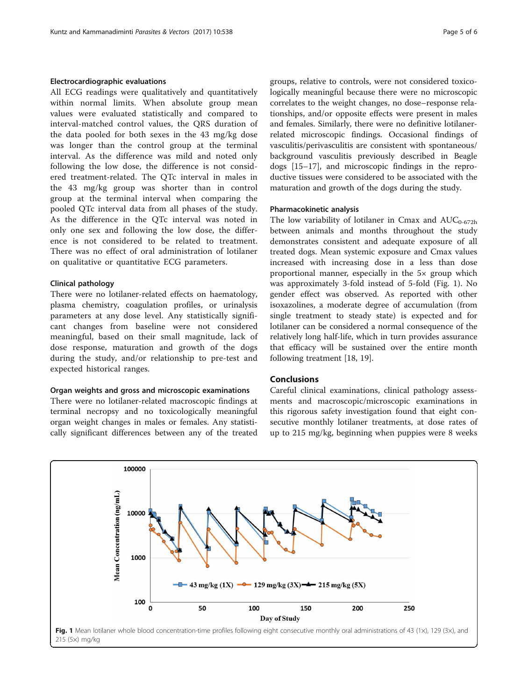# Electrocardiographic evaluations

All ECG readings were qualitatively and quantitatively within normal limits. When absolute group mean values were evaluated statistically and compared to interval-matched control values, the QRS duration of the data pooled for both sexes in the 43 mg/kg dose was longer than the control group at the terminal interval. As the difference was mild and noted only following the low dose, the difference is not considered treatment-related. The QTc interval in males in the 43 mg/kg group was shorter than in control group at the terminal interval when comparing the pooled QTc interval data from all phases of the study. As the difference in the QTc interval was noted in only one sex and following the low dose, the difference is not considered to be related to treatment. There was no effect of oral administration of lotilaner on qualitative or quantitative ECG parameters.

## Clinical pathology

There were no lotilaner-related effects on haematology, plasma chemistry, coagulation profiles, or urinalysis parameters at any dose level. Any statistically significant changes from baseline were not considered meaningful, based on their small magnitude, lack of dose response, maturation and growth of the dogs during the study, and/or relationship to pre-test and expected historical ranges.

# Organ weights and gross and microscopic examinations

There were no lotilaner-related macroscopic findings at terminal necropsy and no toxicologically meaningful organ weight changes in males or females. Any statistically significant differences between any of the treated groups, relative to controls, were not considered toxicologically meaningful because there were no microscopic correlates to the weight changes, no dose–response relationships, and/or opposite effects were present in males and females. Similarly, there were no definitive lotilanerrelated microscopic findings. Occasional findings of vasculitis/perivasculitis are consistent with spontaneous/ background vasculitis previously described in Beagle dogs [\[15](#page-5-0)–[17\]](#page-5-0), and microscopic findings in the reproductive tissues were considered to be associated with the maturation and growth of the dogs during the study.

## Pharmacokinetic analysis

The low variability of lotilaner in Cmax and  $AUC_{0-672h}$ between animals and months throughout the study demonstrates consistent and adequate exposure of all treated dogs. Mean systemic exposure and Cmax values increased with increasing dose in a less than dose proportional manner, especially in the 5× group which was approximately 3-fold instead of 5-fold (Fig. 1). No gender effect was observed. As reported with other isoxazolines, a moderate degree of accumulation (from single treatment to steady state) is expected and for lotilaner can be considered a normal consequence of the relatively long half-life, which in turn provides assurance that efficacy will be sustained over the entire month following treatment [\[18](#page-5-0), [19](#page-5-0)].

# Conclusions

Careful clinical examinations, clinical pathology assessments and macroscopic/microscopic examinations in this rigorous safety investigation found that eight consecutive monthly lotilaner treatments, at dose rates of up to 215 mg/kg, beginning when puppies were 8 weeks